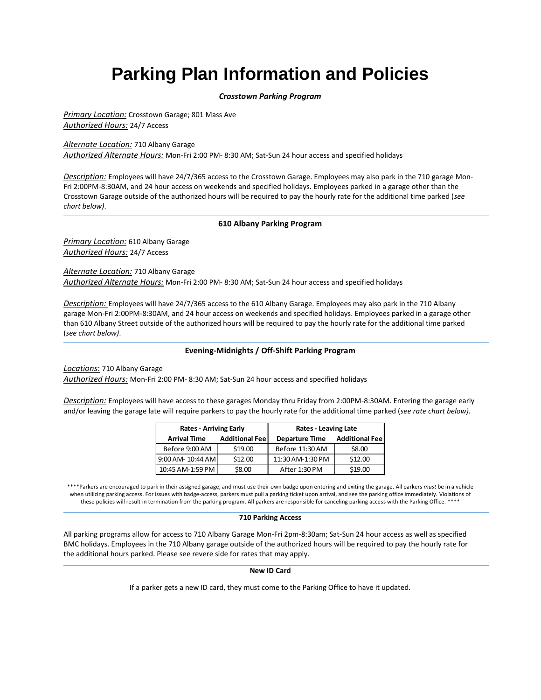# **Parking Plan Information and Policies**

# *Crosstown Parking Program*

*Primary Location:* Crosstown Garage; 801 Mass Ave *Authorized Hours:* 24/7 Access

*Alternate Location:* 710 Albany Garage *Authorized Alternate Hours:* Mon-Fri 2:00 PM- 8:30 AM; Sat-Sun 24 hour access and specified holidays

*Description:* Employees will have 24/7/365 access to the Crosstown Garage. Employees may also park in the 710 garage Mon-Fri 2:00PM-8:30AM, and 24 hour access on weekends and specified holidays. Employees parked in a garage other than the Crosstown Garage outside of the authorized hours will be required to pay the hourly rate for the additional time parked (*see chart below)*.

# **610 Albany Parking Program**

*Primary Location:* 610 Albany Garage *Authorized Hours:* 24/7 Access

*Alternate Location:* 710 Albany Garage *Authorized Alternate Hours:* Mon-Fri 2:00 PM- 8:30 AM; Sat-Sun 24 hour access and specified holidays

*Description:* Employees will have 24/7/365 access to the 610 Albany Garage. Employees may also park in the 710 Albany garage Mon-Fri 2:00PM-8:30AM, and 24 hour access on weekends and specified holidays. Employees parked in a garage other than 610 Albany Street outside of the authorized hours will be required to pay the hourly rate for the additional time parked (*see chart below)*.

# **Evening-Midnights / Off-Shift Parking Program**

*Locations*: 710 Albany Garage

*Authorized Hours:* Mon-Fri 2:00 PM- 8:30 AM; Sat-Sun 24 hour access and specified holidays

*Description:* Employees will have access to these garages Monday thru Friday from 2:00PM-8:30AM. Entering the garage early and/or leaving the garage late will require parkers to pay the hourly rate for the additional time parked (*see rate chart below).*

| <b>Rates - Arriving Early</b> |                        | <b>Rates - Leaving Late</b> |                        |
|-------------------------------|------------------------|-----------------------------|------------------------|
| <b>Arrival Time</b>           | <b>Additional Feel</b> | <b>Departure Time</b>       | <b>Additional Feel</b> |
| Before 9:00 AM                | \$19.00                | Before 11:30 AM             | \$8.00                 |
| 9:00 AM- 10:44 AM             | \$12.00                | 11:30 AM-1:30 PM            | \$12.00                |
| 10:45 AM-1:59 PM              | \$8.00                 | After 1:30 PM               | \$19.00                |

\*\*\*\*Parkers are encouraged to park in their assigned garage, and must use their own badge upon entering and exiting the garage. All parkers *must* be in a vehicle when utilizing parking access. For issues with badge-access, parkers must pull a parking ticket upon arrival, and see the parking office immediately. Violations of these policies will result in termination from the parking program. All parkers are responsible for canceling parking access with the Parking Office. \*\*\*\*

## **710 Parking Access**

All parking programs allow for access to 710 Albany Garage Mon-Fri 2pm-8:30am; Sat-Sun 24 hour access as well as specified BMC holidays. Employees in the 710 Albany garage outside of the authorized hours will be required to pay the hourly rate for the additional hours parked. Please see revere side for rates that may apply.

## **New ID Card**

If a parker gets a new ID card, they must come to the Parking Office to have it updated.